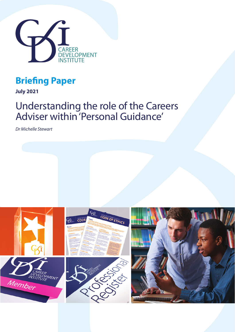

## **Briefing Paper**

**July 2021**

# Understanding the role of the Careers Adviser within 'Personal Guidance'

*Dr Michelle Stewart*

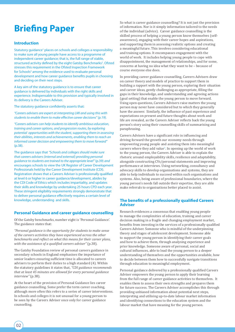# **Briefing Paper**

#### **Introduction**

Statutory guidance<sup>1</sup> places on schools and colleges a responsibility to make sure all young people have access to a programme of independent career guidance; that is, the full range of stable, structured activity defined by the eight Gatsby Benchmarks<sup>2</sup>. Ofsted stresses this requirement in the Ofsted Inspection Framework for Schools<sup>3</sup> among the evidence used to evaluate personal development and how career guidance benefits pupils in choosing and deciding on their next steps.

A key aim of the statutory guidance is to ensure that career guidance is delivered by individuals with the right skills and experience. Indispensable to this provision and typically involved in its delivery is the Careers Adviser.

The statutory guidance confidently asserts that:

*"Careers advisers are expert at interpreting LMI and using this with students to enable them to make effective career decisions" (p.19).*

*"Careers advisers can help students to identify ambitious education, training and career options, and progression routes, by exploring potential opportunities with the student, supporting them in assessing their abilities, interests and achievements, enabling them to reach an informed career decision and empowering them to move forward"* (p.38).

The guidance says that *"Schools and colleges should make sure that careers advisers (internal and external) providing personal guidance to students are trained to the appropriate level"* (p.39) *and* encourages schools to view the UK Register of Career Development Professionals held by the Career Development Institute (CDI). Registration shows that a Careers Adviser is professionally qualified at level 6 or higher in career guidance/development, abides by the CDI Code of Ethics which includes impartiality, and updates their skills and knowledge by undertaking 25 hours CPD each year. These stringent eligibility requirements strongly demonstrate that to deliver personal guidance effectively requires a certain level of knowledge, understanding and skills.

### **Personal Guidance and career guidance counselling**

Of the Gatsby benchmarks, number eight is 'Personal Guidance'. The guidance states that:

*"Personal guidance is the opportunity for students to make sense of the careers activities they have experienced across the other benchmarks and reflect on what this means for their career plans, with the assistance of a qualified careers adviser"* (p.38).

The Gatsby Foundation review of personal careers guidance in secondary schools in England emphasises the importance of senior leaders ensuring sufficient time is allocated to careers advisers to perform their duties to a high standard (4). Within the statutory guidelines it states that, *"CDI guidance recommends that at least 45 minutes are allowed for every personal guidance interview"* (p.38).

At the heart of the provision of Personal Guidance lies career guidance counselling. Some prefer the term career coaching, although more often this refers to a series of career interventions. In schools and colleges it is not unusual for a young person to be seen by the Careers Adviser once only for career guidance counselling.

So what is career guidance counselling? It is not just the provision of information. Nor is it simply information tailored to the needs of the individual (advice). Career guidance counselling is the skilled process of helping a young person know themselves (selfawareness), engaging with their career hopes and aspirations, and supporting them in assessing realistic options and creating a meaningful future. This involves considering educational and training options. It encompasses engagement with the world of work. It includes helping young people to cope with disappointment, the management of relationships, and for some, concerns at having no idea what they want to be – because of course everyone else does.

In providing career guidance counselling, Careers Advisers draw on career theory and models of practice to support them in building a rapport with the young person, exploring their situation and career ideas, gently challenging as appropriate, filling the gaps in their knowledge, and understanding and agreeing actions (goal setting) that enable the young person to move forward. Using open questions, Careers Advisers raise matters the young person may never have considered but to which they generally have the answer. Similarly, the influence of past experience and expectations on present and future thoughts about work and life are revealed, as the Careers Adviser reflects back the young person's story using their counselling skills of summarising and paraphrasing.

Careers Advisers have a significant role in influencing and driving forward the growth our economy needs through empowering young people and assisting them into meaningful careers where they add value<sup>5</sup>. In opening up the world of work to the young person, the Careers Adviser is able to explain the rhetoric around employability skills, resilience and adaptability, alongside constructing CVs/personal statements and improving performance at interviews. Using networking, consultancy and advocacy skills to develop organisations and systems, they are able to help individuals to succeed within such organisations and systems. Also, being aware of professional boundaries, where the young person's needs fall outside their expertise, they are able make referrals to organisations better placed to assist.

#### **The benefits of a professionally qualified Careers Adviser**

Research evidences a consensus that enabling young people to manage the complexities of education, training and career decision making in a fragile and changing employment market, benefits from investing in the services of a professionally qualified Careers Adviser. Someone who is mindful of the underpinning theory and stages of adolescent development. Someone able to support the young person in identifying their career goals and how to achieve them, through analysing experience and prior knowledge. Someone aware of personal, social and cultural influences, able to lead the young person to a deeper understanding of themselves and the opportunities available, how to decide between them how to successfully navigate transitions through education to meaningful employment.

Personal guidance delivered by a professionally qualified Careers Adviser empowers the young person to apply their learning from the full range of career guidance activities to themselves. It enables them to assess their own strengths and prepares them for future success. The Careers Adviser accomplishes this through providing unbiased information about potential next steps, interpreting and utilising up-to-date labour market information and identifying connections to the education system and the labour market that have meaning for the young person.

02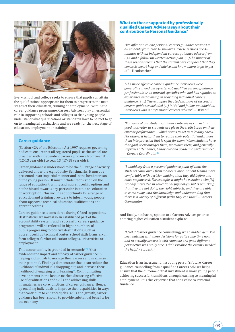

Every school and college seeks to ensure that pupils can attain the qualifications appropriate for them to progress to the next stages of their education, training or employment. Within the career guidance programme, Careers Advisers play an essential role in supporting schools and colleges so that young people understand what qualifications or standards have to be met to go on to meaningful destinations and are ready for the next stage of education, employment or training.

#### **Career guidance**

(Section 42A of the Education Act 1997 requires governing bodies to ensure that all registered pupils at the school are provided with independent careers guidance from year 8 (12-13 year olds) to year 13 (17-18 year olds).

Career guidance is understood to be the full range of activity delivered under the eight Gatsby Benchmarks. It must be presented in an impartial manner and in the best interests of the young person. It must include information on the range of education, training and apprenticeship options and not be biased towards any particular institution, education or work option. This includes opportunity for a range of education and training providers to inform young people about approved technical education qualifications and apprenticeships.

Careers guidance is considered during Ofsted inspections. Destinations are now also an established part of the accountability system, and a successful careers guidance programme will be reflected in higher numbers of pupils progressing to positive destinations, such as apprenticeships, technical routes, school sixth forms, sixth form colleges, further education colleges, universities or employment.

This accountability is grounded in research<sup>6789</sup> that evidences the impact and efficacy of career guidance in helping individuals to manage their careers and maximise their potential. Findings demonstrate that it can reduce the likelihood of individuals dropping out, and increase their likelihood of engaging with learning<sup>10</sup>. Communicating developments in the labour market, discussing effective use of qualifications and skills and addressing skills mismatches are core functions of career guidance. Hence, by enabling individuals to improve their capabilities in ways that contribute to enhanced jobs, skills and growth, career guidance has been shown to provide substantial benefits for the economy.

#### **What do those supported by professionally qualified Careers Advisers say about their contribution to Personal Guidance?**

*"We offer one-to-one personal careers guidance sessions to all students from Year 10 upwards. These sessions are 40 minutes with an independent careers guidance adviser from CXK and a follow up written action plan. (…)The impact of these sessions means that the students are confident that they can seek expert help and advice and know where to go to get it.*" – Headteacher<sup>11</sup>

*"The more effective careers guidance interviews were generally carried out by external, qualified careers guidance professionals or an internal specialist who had had significant experience and training in providing individual careers guidance*. (….) *The examples the students gave of successful careers guidance included (…) initial and follow-up individual interviews with a professional careers adviser."* - Ofsted<sup>12</sup>

*"For some of our students guidance interviews can act as a good motivator as students are given the truth based on their current performance – which seems to act as a 'reality check.' For others, it helps them to realise their potential and guides them into provision that is right for them. When students have that goal, it encourages them, motivates them, and generally improves attendance, behaviour and academic performance." – Careers Coordinator13*

*"I would say from a personal guidance point of view, the students come away from a careers appointment feeling more comfortable with decision making than they did before and more empowered. For example, it might be a student who [is] broadly interested in educational psychology but is panicking that they are not doing the right subjects, and they are able to come away with the knowledge and understanding that there is a variety of different paths they can take." – Careers Coordinator14*

And finally, not having spoken to a Careers Adviser prior to entering higher education a student explains:

*"I feel it [*career guidance counselling*] was a hidden gem. I've been battling with these decisions for quite some time now and to actually discuss it with someone and get a different perspective was really nice...I didn't realise the extent I needed the help."* - Student*<sup>15</sup>*

Education is an investment in a young person's future. Career guidance counselling from a qualified Careers Adviser helps ensure that the outcome of that investment is more young people achieving successful transitions through learning to meaningful employment. It is this expertise that adds value to Personal Guidance.